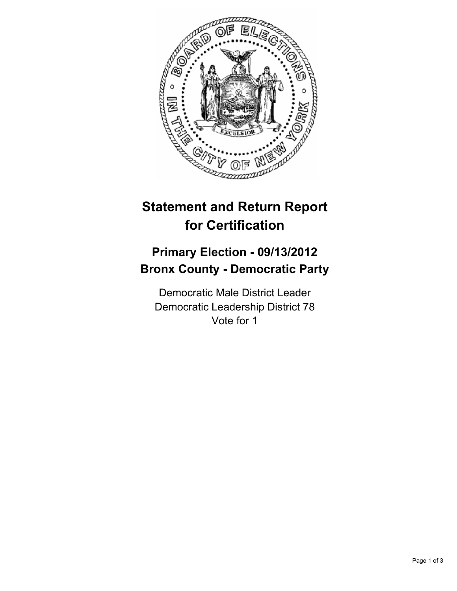

## **Statement and Return Report for Certification**

## **Primary Election - 09/13/2012 Bronx County - Democratic Party**

Democratic Male District Leader Democratic Leadership District 78 Vote for 1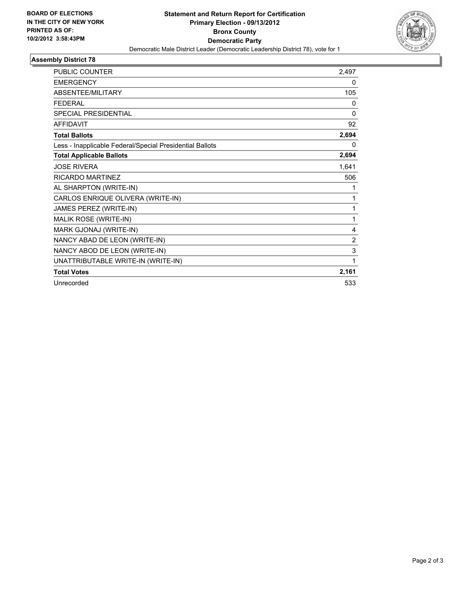

## **Assembly District 78**

| <b>PUBLIC COUNTER</b>                                    | 2,497        |
|----------------------------------------------------------|--------------|
| <b>EMERGENCY</b>                                         | 0            |
| <b>ABSENTEE/MILITARY</b>                                 | 105          |
| <b>FEDERAL</b>                                           | 0            |
| <b>SPECIAL PRESIDENTIAL</b>                              | $\mathbf{0}$ |
| <b>AFFIDAVIT</b>                                         | 92           |
| <b>Total Ballots</b>                                     | 2,694        |
| Less - Inapplicable Federal/Special Presidential Ballots | 0            |
| <b>Total Applicable Ballots</b>                          | 2,694        |
| <b>JOSE RIVERA</b>                                       | 1,641        |
| <b>RICARDO MARTINEZ</b>                                  | 506          |
| AL SHARPTON (WRITE-IN)                                   | 1            |
| CARLOS ENRIQUE OLIVERA (WRITE-IN)                        | 1            |
| JAMES PEREZ (WRITE-IN)                                   | 1            |
| MALIK ROSE (WRITE-IN)                                    | 1            |
| MARK GJONAJ (WRITE-IN)                                   | 4            |
| NANCY ABAD DE LEON (WRITE-IN)                            | 2            |
| NANCY ABOD DE LEON (WRITE-IN)                            | 3            |
| UNATTRIBUTABLE WRITE-IN (WRITE-IN)                       | 1            |
| <b>Total Votes</b>                                       | 2,161        |
| Unrecorded                                               | 533          |